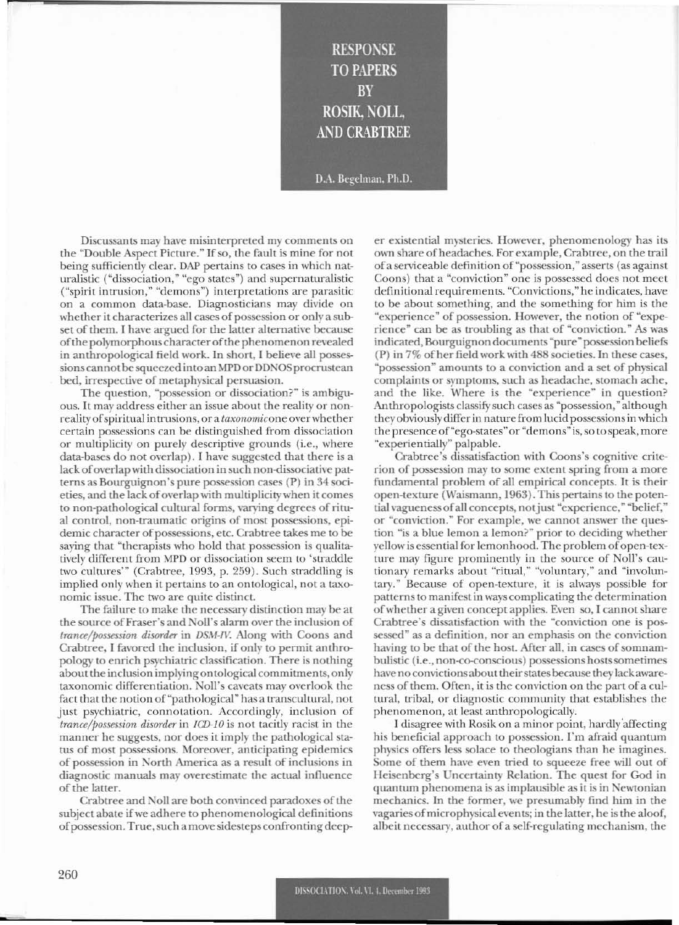**RESPONSE TO PAPERS** BY **ROSIK, NOLL, AND CRABTREE** D.A. Begelman, Ph.D.

Discussants may have misinterpretcd my comments on the "Double Aspect Picture." If so, the fault is mine for not being sufficiently dear. OAP pertains to cases in which naturalistic ("dissociation," "ego states") and supernaturalistic ("spirit intrusion," "demons") interpretations are parasitic on a common data~base. Diagnosticians may divide on whether it characterizes all cases of possession or only a subset of them. I have argued for the latter alternative because of the polymorphous character of the phenomenon revealed in anthropological field work. In short, I believe all possessionscannot besqueezed into an MPD or DDNGS procrustean bed, irrespective of metaphysical persuasion.

The question, "possession or dissociation?" is ambiguous. It may address either an issue about the reality or nonrealityofspiritual intmsions, or a *taxonomicone* ovcrwhcther certain possessions can be distinguished from dissociation or multiplicity on purely descriptive grounds (i.e., where data-bases do not overlap). I have suggested that there is a lack of overlap with dissociation in such non-dissociative patterns as Bourguignon's pure possession cases (P) in 34 societies, and the lack of overlap with multiplicity when it comes to non-pathological cultural forms, varying degrees of ritual control, non-traumatic origins of most possessions, epidemic character of possessions, etc. Crabtree takes me to be saying that "therapists who hold that possession is qualitatively different from MPD or dissociation seem to 'straddle two cultures'" (Crabtree, 1993, p. 259). Such straddling is implied only when it pertains to an ontological, not a taxonomic issue. The two are quite distinct.

The failure to make the necessary distinction may be at the source of Fraser's and Noll's alarm over the inclusion of trance/possession disorder in DSM-IV. Along with Coons and Crabtree, I favored the inclusion, if only to permit anthropology to enrich psychiatric classification. There is nothing about the inclusion implying ontological commitments, only taxonomic differentiation. Noll's caveats may overlook the fact that the notion of "pathological" has a transcultural, not just psychiatric, connotation. Accordingly, inclusion of *trance/possession disorder* in *ICD-lO* is not tacitly racist in the manner he suggests, nor does it imply the pathological status of most possessions. Moreover, anticipating epidemics of possession in North America as a result of inclusions in diagnostic manuals may overestimate the actual influence of the latter.

Crabtree and Noll are both convinced paradoxes of the subject abate if we adhere to phenomenological definitions of possession. True, such a move sidesteps confronting deeper existential mysteries. However, phenomenology has its own share of headaches. For example, Crabtree, on the trail of a serviceable definition of "possession," asserts (as against Coons) that a "conviction" one is possessed does not meet definitional requirements. "Convictions," he indicates, have to be about something, and the something for him is the "experiencc" of possession. However, the notion of "experience" can be as troubling as that of "conviction." As was indicated, Bourguignon documents "pure" possession beliefs (P) in 7% ofher field work with 488 societies. In these cases, "possession" amounts to a conviction and a set of physical complaints or symptoms, such as headache, stomach ache, and the like. Where is the "experience" in question? Anthropologists classify such cases as "possession," although they obviously differ in nature from lucid possessions in which the presence of "ego-states" or "demons" is, so to speak, more "experientially" palpable.

Crabtree's dissatisfaction with Coons's cognitive criterion of possession may to some cxtent spring from a more fundamental problem of all empirical concepts. It is their open-texture (Waismann, 1963). This pertains to the poten~ tial vagueness of all concepts, not just "experience," "belief," or "conviction." For example, we cannot answer the question "is a blue lemon a lemon?" prior to deciding whether yellow is essential for lemonhood. The problem of open-texture may figure prominently in the source of Noll's cautionary remarks about "ritual," "voluntary," and "involuntary." Because of open-texture, it is always possible for patterns to manifest in ways complicating the determination of whether a given concept applies. Even so, I cannot share Crabtree's dissatisfaction with the "conviction one is possessed" as a definition, nor an emphasis on the conviction having to be that of the host. After all, in cases of somnambulistic (i.e., non-co-conscious) possessions hosts sometimes have no convictions about their states because they lack awareness of them. Often, it is the conviction on the part of a cultural, tribal, or diagnostic community that establishes the phenomenon, at least anthropologically.

I disagree with Rosik on a minor point, hardly'affecting his beneficial approach to possession. I'm afraid quantum physics offers less solace to theologians than he imagines. Some of them have even tried to squeeze free will out of Heisenberg's Uncertainty Relation. The quest for God in quantum phenomena is as implausible as it is in Newtonian mechanics. In the former, we presumably find him in the vagaries of microphysical events; in the latter, he is the aloof, albeit necessary, author of a self-regulating mechanism, the